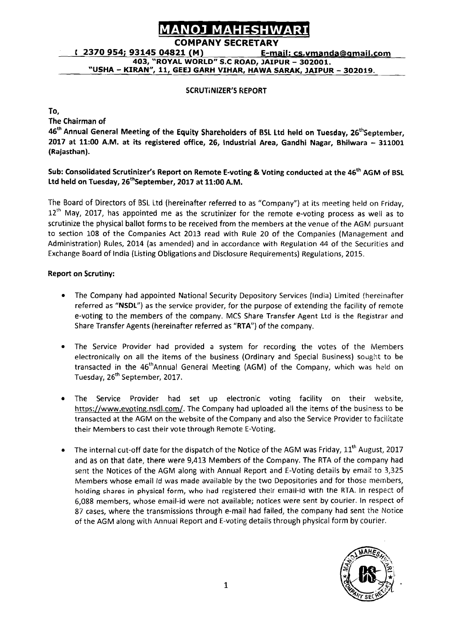## **COMPANY SECRETARY**

**403, 'ROYAL WORLD" S.C ROAD, JAIPUR** - **302001. "USHA** - **KIRAN", 11, GEE3 GARH VIHAR, HAWA SARAK, JAIPUR** - **302019.** 

#### SCRUTINIZER'S REPORT

To,

'The Chairman of

**MANO MAHEMINARI**<br>COMPANY SECRETARY<br>
COMPANY SECRETARY<br>
E-mail: CS. VITARIO 403, "ROYAL WORLD" S.C. ROAD, JAFPUR - 302001.<br>
"USHA - KIRAN", 11, GEEJ GARH VIHAR, HAWA SARAK, JAIPUR - 302019.<br>
SCRUTINIZER'S KEPORT<br>
SCRUTINIZ 46<sup>th</sup> Annual General Meeting of the Equity Shareholders of BSL Ltd held on Tuesday, 26<sup>th</sup>September, <sup>2017</sup>**at** 11:OO A.M. at its registered office, 26, Industrial Area, Gandhi Nagar, Bhilwara - **<sup>311001</sup>** (Rajasthan).

#### Sub: Consolidated Scrutinizer's Report on Remote E-voting & Voting conducted at the 46<sup>th</sup> AGM of BSL Ltd held on Tuesday,  $26^{th}$ September, 2017 at 11:00 A.M.

The Board of Directors of BSL Ltd (hereinafter referred to as "Company") at its meeting held on Friday,  $12<sup>th</sup>$  May, 2017, has appointed me as the scrutinizer for the remote e-voting process as well as to scrutinize the physical ballot forms to be received from the members at the venue of the AGM pursuant to section 108 of the Companies Act 2013 read with Rule 20 of the Companies (Management and Administration) Rules, 2014 (as amended) and in accordance with Regulation 44 of the Securities and Exchange Board of India (Listing Obligations and Disclosure Requirements) Regulations, 2015.

#### Report on Scrutiny:

- The Company had appointed National Security Depository Services (India) Limited (hereinafter  $\bullet$ referred as "NSDL") as the service provider, for the purpose of extending the facility of remote e-voting to the members of the company. MCS Share Transfer Agent Ltd is the Registrar and Share Transfer Agents (hereinafter referred as "RTA") of the company.
- The Service Provider had provided a system for recording the votes of the Members electronically on all the items of the business (Ordinary and Special Business) sought to be transacted in the 46<sup>th</sup>Annual General Meeting (AGM) of the Company, which was held on Tuesday, 26<sup>th</sup> September, 2017.
- The Service Provider had set up electronic voting facility on their website, https://www.evoting.nsdl.com/. The Company had uploaded all the items of the business to be transacted at the AGM on the website of the Company and also the Service Provider to facilitate their Members to cast their vote through Remote E-Voting.
- The internal cut-off date for the dispatch of the Notice of the AGM was Friday,  $11<sup>th</sup>$  August, 2017 and as on that date, there were 9,413 Members of the Company. The RTA of the company had sent the Notices of the AGM along with Annual Report and E-Voting details by emait to 3,325 Members whose email Id was made available by the two Depositories and for those members, holding shares in physical form, who had registered their email-id with the RTA. In respect of 6,088 members, whose email-id were not available; notices were sent by courier. In respect of 87 cases, where the transmissions through e-mail had failed, the company had sent the Notice of the AGM along with Annual Report and E-voting details through physical form by courier.

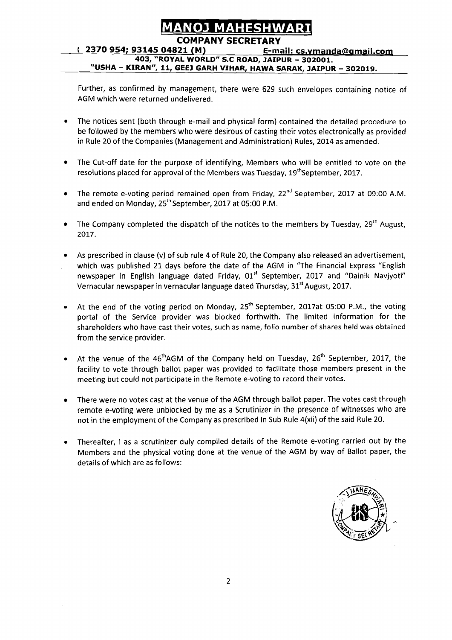**t 2370 954; 93145 04821 (M)** E-mail: cs.vmanda@qmail.com **403, "ROYAL WORLD" S.C ROAD, JAIPUR** - **302001. "USHA** - **KIRAN", 11, GEE3 GARH VIHAR, HAWA SARAK, JAIPUR** - **302019.** 

Further, as confirmed by management, there were 629 such envelopes containing notice of AGM which were returned undelivered.

- The notices sent (both through e-mail and physical form) contained the detailed prccedure to be followed by the members who were desirous of casting their votes electronically as provided in Rule 20 of the Companies (Management and Administration) Rules, 2014 as amended.
- The Cut-off date for the purpose of identifying, Members who will be entitled to vote on the resolutions placed for approval of the Members was Tuesday,  $19<sup>th</sup>$ September, 2017.
- The remote e-voting period remained open from Friday, 22<sup>nd</sup> September, 2017 at 09:00 A.M.  $\bullet$ and ended on Monday,  $25^{th}$  September, 2017 at 05:00 P.M.
- The Company completed the dispatch of the notices to the members by Tuesday,  $29^{th}$  August, 2017.
- As prescribed in clause (v) of sub rule 4 of Rule 20, the Company also released an advertisement, which was published 21 days before the date of the AGM in "The Financial Express "English newspaper in English language dated Friday, 01<sup>st</sup> September, 2017 and "Dainik Naviyoti" Vernacular newspaper in vernacular language dated Thursday, 31<sup>st</sup> August, 2017.
- At the end of the voting period on Monday, 25<sup>th</sup> September, 2017at 05:00 P.M., the voting portal of the Service provider was blocked forthwith. The limited information for the shareholders who have cast their votes, such as name, folio number of shares held was obtained from the service provider.
- At the venue of the  $46<sup>th</sup>AGM$  of the Company held on Tuesday,  $26<sup>th</sup>$  September, 2017, the facility to vote through ballot paper was provided to facilitate those members present in the meeting but could not participate in the Remote e-voting to record their votes.
- There were no votes cast at the venue of the AGM through ballot paper. The votes cast through remote e-voting were unblocked by me as a Scrutinizer in the presence of witnesses who are not in the employment of the Company as prescribed in Sub Rule 4(xii) of the said Rule 20.
- Thereafter, I as a scrutinizer duly compiled details of the Remote e-voting carried out by the Members and the physical voting done at the venue of the AGM by way of Ballot paper, the details of which are as follows:

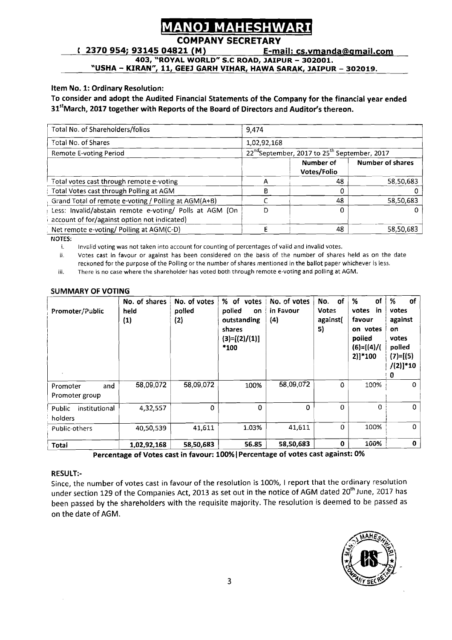## **MAHESHW**

### **COMPANY SECRETARY**

<sup>r</sup>**2370 954; 93145 04821 (M) E-mail: cs.vmanda@\_gmaiI.com** 

**403, "ROYAL WORLD" S.C ROAD. JAIPUR** - **302001.** 

**'USHA** - **KIRAN~~, 11, GEEJ GARH VIHAR, HAWA SARAK, JAIPUR** - **302019.** 

#### **Item No. 1: Ordinary Resolution:**

#### **To consider and adopt the Audited Financial Statements of the Company for the financial year ended**  31<sup>st</sup>March, 2017 together with Reports of the Board of Directors and Auditor's thereon.

| Item No. 1: Ordinary Resolution:<br>To consider and adopt the Audited Financial Statements of the Company for the financial year ended<br>31 <sup>st</sup> March, 2017 together with Reports of the Board of Directors and Auditor's thereon. |             |                          |                         |  |  |  |
|-----------------------------------------------------------------------------------------------------------------------------------------------------------------------------------------------------------------------------------------------|-------------|--------------------------|-------------------------|--|--|--|
| Total No. of Shareholders/folios                                                                                                                                                                                                              | 9,474       |                          |                         |  |  |  |
| Total No. of Shares                                                                                                                                                                                                                           | 1,02,92,168 |                          |                         |  |  |  |
| 22 <sup>nd</sup> September, 2017 to 25 <sup>th</sup> September, 2017<br><b>Remote E-voting Period</b>                                                                                                                                         |             |                          |                         |  |  |  |
|                                                                                                                                                                                                                                               |             | Number of<br>Votes/Folio | <b>Number of shares</b> |  |  |  |
| Total votes cast through remote e-voting                                                                                                                                                                                                      | A           | 48                       | 58,50,683               |  |  |  |
| Total Votes cast through Polling at AGM                                                                                                                                                                                                       | B           | $\Omega$                 | O.                      |  |  |  |
| Grand Total of remote e-voting / Polling at AGM(A+B)                                                                                                                                                                                          |             | 48                       | 58,50,683               |  |  |  |
| Less: Invalid/abstain remote e-voting/ Polls at AGM (On<br>account of for/against option not indicated)                                                                                                                                       | D           | $\Omega$                 | 0                       |  |  |  |
| Net remote e-voting/Polling at AGM(C-D)<br>MOTES.                                                                                                                                                                                             | E           | 48                       | 58,50,683               |  |  |  |

MOTES:

i. Invslid voting was not taken into account for counting of percentages of valid and invalid votes.

ii. Votes cast in favour or against has been considered on the basis of the number of shares held as on the date reckoned for the purpose of the Polling or the number of shares mentioned in the ballot paper whichever is less.

iii. There is no case where the shareholder has voted both through remote e-voting and polling at AGM.

| Promoter/Public                    | No. of shares<br>held<br>(1) | No. of votes<br>polled<br>(2) | % of votes<br>polled<br>on<br>outstanding<br>shares<br>$(3)=[(2)/(1)]$<br>*100 | No. of votes<br>in Favour<br>$\left( 4\right)$ | No. of<br><b>Votes</b><br>against(<br>5) | оf<br>%<br>votes<br>-in<br>favour<br>on votes<br>polled<br>$(6)=[(4)/($<br>$2)]*100$ | %<br><b>of</b><br>votes<br>against<br>on<br>votes<br>polled<br>$(7)=[(5)$<br>$/(2)]*10$<br>0 |
|------------------------------------|------------------------------|-------------------------------|--------------------------------------------------------------------------------|------------------------------------------------|------------------------------------------|--------------------------------------------------------------------------------------|----------------------------------------------------------------------------------------------|
| and<br>Promoter<br>Promoter group  | 58,09,072                    | 58,09,072                     | 100%                                                                           | 58,09,072                                      | $\Omega$                                 | 100%                                                                                 | 0                                                                                            |
| Public<br>institutional<br>holders | 4,32,557                     | $\Omega$                      | $\Omega$                                                                       | $\mathbf 0$                                    | $\Omega$                                 | $\Omega$                                                                             | 0                                                                                            |
| Public-others                      | 40,50,539                    | 41,611                        | 1.03%                                                                          | 41,611                                         | $\Omega$                                 | 100%                                                                                 | $\Omega$                                                                                     |
| Total                              | 1.02.92.168                  | 58,50,683                     | 56.85                                                                          | 58,50,683                                      | $\mathbf{0}$                             | 100%                                                                                 | $\mathbf 0$                                                                                  |

#### **SUMMARY OF VOTING**

**Percentage of Votes cast in favour: 100%(Percentage of votes cast against: 0%** 

#### **RESULT:-**

Since, the number of votes cast in favour of the resolution is 100%, I report that the ordinary resolution under section 129 of the Companies Act, 2013 as set out in the notice of AGM dated 20<sup>th</sup> June, 2017 has been passed by the shareholders with the requisite majority. The resolution is deemed to be passed as on the date of AGM.

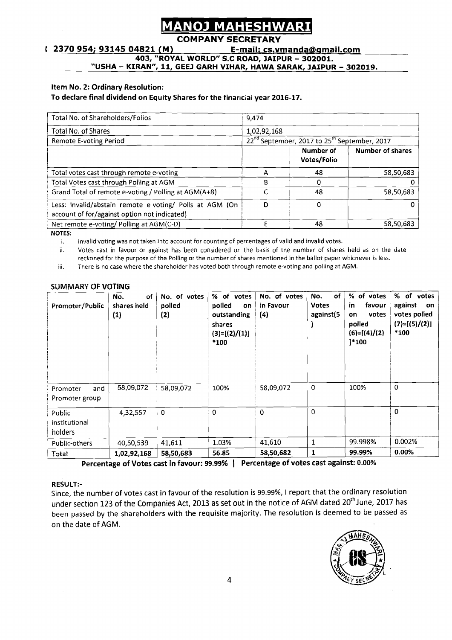## **NOJ MAHESHWA**

#### **COMPANY SECRETARY**

#### **<sup>1</sup>2370 954; 93145 04821 (M)** E-mail: cs.vmanda@qmaiI.co~

**403, "ROYAL WORLD" S.C ROAD, JAIPUR** - **302001.** 

**"USHA** - **KIRAN", 11, GEEJ GARH VIHAR, HAWA SARAK, JAIPUR** - **302019.** 

#### Item No. 2: Ordinary Resolution:

#### To declare final dividend on Equity Shares for the financial year 2016-17.

| Total No. of Shareholders/Folios                                                                        | 9.474       |                                                                      |                         |  |
|---------------------------------------------------------------------------------------------------------|-------------|----------------------------------------------------------------------|-------------------------|--|
| Total No. of Shares                                                                                     | 1,02,92,168 |                                                                      |                         |  |
| Remote E-voting Period                                                                                  |             | 22 <sup>nd</sup> September, 2017 to 25 <sup>th</sup> September, 2017 |                         |  |
|                                                                                                         |             | Number of<br>Votes/Folio                                             | <b>Number of shares</b> |  |
| Total votes cast through remote e-voting                                                                |             | 48                                                                   | 58,50,683               |  |
| Total Votes cast through Polling at AGM                                                                 | R           |                                                                      |                         |  |
| Grand Total of remote e-voting / Polling at AGM(A+B)                                                    |             | 48                                                                   | 58,50,683               |  |
| Less: Invalid/abstain remote e-voting/ Polls at AGM (On<br>account of for/against option not indicated) | D           | $\Omega$                                                             | Ω                       |  |
| Net remote e-voting/ Polling at AGM(C-D)                                                                |             | 48                                                                   | 58,50,683               |  |

**NOTES:** 

i. Invalid voting was not taken into account for counting of percentages of valid and invalid votes.<br>ii. Votes cast in favour or against has been considered on the basis of the number of shares Votes cast in favour or against has been considered on the basis of the number of shares held as on the date reckoned for the purpose of the Polling or the number of shares mentioned in the ballot paper whichever is less.

iii. There is no case where the shareholder has voted both through remote e-voting and polling at AGM.

| Promoter/Public                    | οf<br>No.<br>shares held<br>(1) | No. of votes<br>polled<br>(2) | % of votes<br>polled<br>on<br>outstanding<br>shares<br>$(3)=[(2)/(1)]$<br>*100 | No. of votes<br>in Favour<br>(4) | of<br>No.<br><b>Votes</b><br>against(5 | % of votes<br>favour<br>in<br>votes<br>on<br>polled<br>$(6)=[(4)/(2)]$<br>$]^{*}100$ | % of votes<br>against<br>on<br>votes polled<br>$(7)=[(5)/(2)]$<br>*100 |
|------------------------------------|---------------------------------|-------------------------------|--------------------------------------------------------------------------------|----------------------------------|----------------------------------------|--------------------------------------------------------------------------------------|------------------------------------------------------------------------|
| and<br>Promoter<br>Promoter group  | 58,09,072                       | 58,09,072                     | 100%                                                                           | 58,09,072                        | $\mathbf 0$                            | 100%                                                                                 | $\Omega$                                                               |
| Public<br>institutional<br>holders | 4,32,557                        | 0                             | $\Omega$                                                                       | $\mathbf{0}$                     | $\Omega$                               |                                                                                      | $\Omega$                                                               |
| Public-others                      | 40,50,539                       | 41,611                        | 1.03%                                                                          | 41,610                           | 1                                      | 99.998%                                                                              | 0.002%                                                                 |
| Total                              | 1,02,92,168                     | 58,50,683                     | 56.85                                                                          | 58,50,682                        | 1                                      | 99.99%                                                                               | 0.00%                                                                  |

Percentage of Votes cast in favour: 99.99% **1** Percentage of votes cast against: 0.00%

#### RESULT:-

Since, the number of votes cast in favour of the resolution is 99.99%, 1 report that the ordinary resolution under section 123 of the Companies Act, 2013 as set out in the notice of AGM dated 20<sup>th</sup> June, 2017 has been passed by the shareholders with the requisite majority. The resolution is deemed to be passed as on the date of AGM.

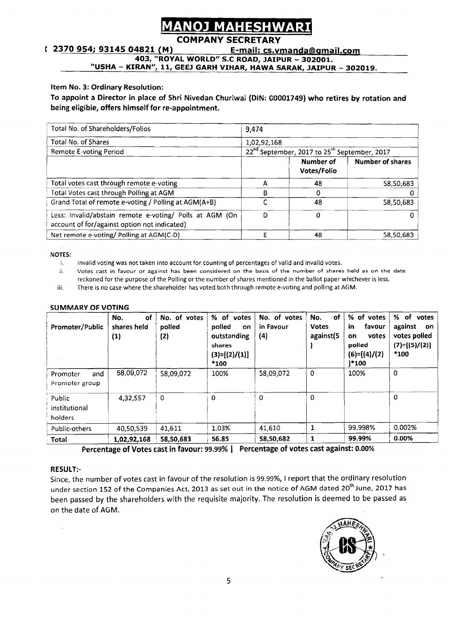# **NOJ MAHESHWAR**

### **COMPANY SECRETARY**

<sup>r</sup>**2370 954; 93145 04821 (M) E-mail: cs.vmanda@amail.com** 

**403, "ROYAL WORLD" S.C ROAD, JAIPUR** - **302001.** 

**"USHA** - **KIRAN", 11, GEEJ GARH VIHAR, HAWA SARAK, JAIPUR** - **302019.** 

#### **Item No. 3: Ordinary Resolution:**

To appoint a Director in place of Shri Nivedan Churiwal (DIN: 00001749) who retires by rotation and **being eligible, offers himself for re-appointment.** 

| Total No. of Shareholders/Folios                                                                        | 9,474       |                                                                      |                  |  |  |
|---------------------------------------------------------------------------------------------------------|-------------|----------------------------------------------------------------------|------------------|--|--|
| Total No. of Shares                                                                                     | 1,02,92,168 |                                                                      |                  |  |  |
| <b>Remote E-voting Period</b>                                                                           |             | 22 <sup>nd</sup> September, 2017 to 25 <sup>th</sup> September, 2017 |                  |  |  |
|                                                                                                         |             | Number of<br>Votes/Folio                                             | Number of shares |  |  |
| Total votes cast through remote e-voting                                                                |             | 48                                                                   | 58,50,683        |  |  |
| Total Votes cast through Polling at AGM                                                                 | R           | O                                                                    |                  |  |  |
| Grand Total of remote e-voting / Polling at AGM(A+B)                                                    |             | 48                                                                   | 58,50,683        |  |  |
| Less: Invalid/abstain remote e-voting/ Polls at AGM (On<br>account of for/against option not indicated) | D           | 0                                                                    |                  |  |  |
| Net remote e-voting/ Polling at AGM(C-D)                                                                |             | 48                                                                   | 58,50,683        |  |  |

**NOTES:** 

- i. Invalid voting was not taken into account for counting of percentages of valid and invalid votes.
- ii. **Votes cast in favour or against has been considered on the basis** of **the number** of **shares held as on the date**  reckoned for the purpose of the Polling or the number of shares mentioned in the ballot paper whichever is less.
- iii. There is no case where the shareholder has voted both through remote e-voting and polling at AGM.

| Promoter/Public                    | of<br>No.<br>shares held<br>$\bf{(1)}$ | No. of votes<br>polled<br>(2) | % of votes<br>polled<br>on<br>outstanding<br>shares<br>$(3)=[(2)/(1)]$<br>*100 | No. of votes<br>in Favour<br>(4) | of<br>No.<br><b>Votes</b><br>against(5 | % of votes<br>in<br>favour<br>votes<br>on<br>polled<br>$(6)=[(4)/(2)$<br>$1*100$ | % of votes<br>against<br>on<br>votes polled<br>$(7)=[(5)/(2)]$<br>$*100$ |
|------------------------------------|----------------------------------------|-------------------------------|--------------------------------------------------------------------------------|----------------------------------|----------------------------------------|----------------------------------------------------------------------------------|--------------------------------------------------------------------------|
| and<br>Promoter<br>Promoter group  | 58,09,072                              | 58,09,072                     | 100%                                                                           | 58,09,072                        | 0                                      | 100%                                                                             | 0                                                                        |
| Public<br>institutional<br>holders | 4,32,557                               | 0                             | 0                                                                              | 0                                | $\Omega$                               |                                                                                  | O                                                                        |
| Public-others                      | 40,50,539                              | 41,611                        | 1.03%                                                                          | 41.610                           |                                        | 99.998%                                                                          | 0.002%                                                                   |
| Total                              | 1,02,92,168                            | 58,50,683                     | 56.85                                                                          | 58,50,682                        | 1                                      | 99.99%                                                                           | 0.00%                                                                    |

#### **SUMMARY OF VOTING**

**Percentage of Votes cast in favour: 99.99% 1 Percentage of votes cast against: 0.00%** 

#### **RESULT:-**

Since, the number of votes cast in favour of the resolution is **99.99%, 1** report that the ordinary resolution under section 152 of the Companies Act, 2013 as set out in the notice of AGM dated 20<sup>th</sup> June, 2017 has been passed by the sharehoiders with the requisite majority. The resolution is deemed to be passed as on the date of AGM.

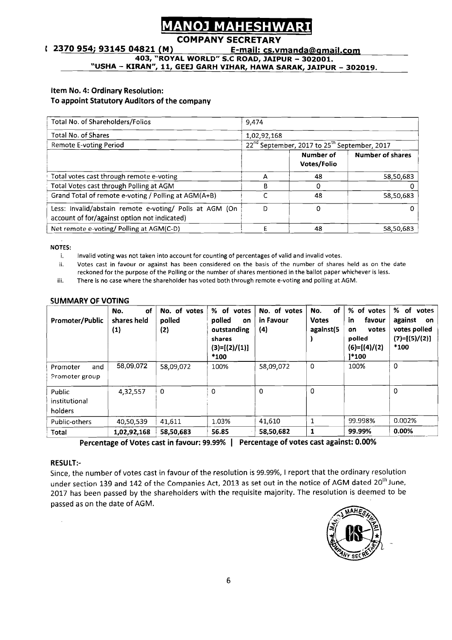# **NOJ MAHESHWAR**

### **COMPANY SECRETARY**

#### **c** 2370 954; 93145 04821 (M) E-mail: cs.vmanda@gmail.com

**403, "ROYAL WORLD" S.C ROAD, JAIPUR** - **302001.** 

**"USHA** - **KIRAN", 11, GEEJ GARH VIHAR, HAWA SARAK, JAIPUR** - **302019.** 

## **Item No. 4: Ordinary Resolution:**

#### **To appoint Statutory Auditors of the company**

| Item No. 4: Ordinary Resolution:<br>To appoint Statutory Auditors of the company                        |             |                                                                      |                         |
|---------------------------------------------------------------------------------------------------------|-------------|----------------------------------------------------------------------|-------------------------|
| Total No. of Shareholders/Folios                                                                        | 9,474       |                                                                      |                         |
| <b>Total No. of Shares</b>                                                                              | 1,02,92,168 |                                                                      |                         |
| Remote E-voting Period                                                                                  |             | 22 <sup>nd</sup> September, 2017 to 25 <sup>th</sup> September, 2017 |                         |
|                                                                                                         |             | Number of<br>Votes/Folio                                             | <b>Number of shares</b> |
| Total votes cast through remote e-voting                                                                | A           | 48                                                                   | 58,50,683               |
| Total Votes cast through Polling at AGM                                                                 | в           | 0                                                                    |                         |
| Grand Total of remote e-voting / Polling at AGM(A+B)                                                    |             | 48                                                                   | 58,50,683               |
| Less: invalid/abstain remote e-voting/ Polls at AGM (On<br>account of for/against option not indicated) | D           | 0                                                                    | 0                       |
| Net remote e-voting/Polling at AGM(C-D)                                                                 | E           | 48                                                                   | 58,50,683               |

**NOTES:** 

- i. Invalid voting was not taken into account for counting of percentages of valid and invalid votes.
- ii. Votes cast in favour or against has been considered on the basis of the number of shares held as on the date reckoned for the purpose of the Polling or the number of shares mentioned in the ballot paper whichever is less.
- iii. There **is** no case where the shareholder has voted both through remote e-voting and polling at AGM.

| <br>iii.                           |                                 |                               |                                                                                  | VOLES COST IN TOYOUT OF OGGINST HOS DECIT CONSIDERED ON THE DOSS OF THE HUMBER OF SHORES HEID AS ON THE WATER<br>reckoned for the purpose of the Polling or the number of shares mentioned in the ballot paper whichever is less.<br>There is no case where the shareholder has voted both through remote e-voting and polling at AGM. |                                        |                                                                                  |                                                                         |  |  |  |  |
|------------------------------------|---------------------------------|-------------------------------|----------------------------------------------------------------------------------|----------------------------------------------------------------------------------------------------------------------------------------------------------------------------------------------------------------------------------------------------------------------------------------------------------------------------------------|----------------------------------------|----------------------------------------------------------------------------------|-------------------------------------------------------------------------|--|--|--|--|
| <b>SUMMARY OF VOTING</b>           |                                 |                               |                                                                                  |                                                                                                                                                                                                                                                                                                                                        |                                        |                                                                                  |                                                                         |  |  |  |  |
| Promoter/Public                    | of<br>No.<br>shares held<br>(1) | No. of votes<br>polled<br>(2) | % of votes<br>polled<br>on<br>outstanding<br>shares<br>$(3)=[(2)/(1)]$<br>$*100$ | No. of votes<br>in Favour<br>(4)                                                                                                                                                                                                                                                                                                       | οf<br>No.<br><b>Votes</b><br>against(5 | % of votes<br>favour<br>-in<br>votes<br>on<br>polled<br>$(6)=[(4)/(2)]$<br>1*100 | % of votes<br>against<br>on.<br>votes polled<br>$(7)=[(5)/(2)]$<br>*100 |  |  |  |  |
| and<br>Promoter<br>Promoter group  | 58.09.072                       | 58,09,072                     | 100%                                                                             | 58,09,072                                                                                                                                                                                                                                                                                                                              | $\mathbf 0$                            | 100%                                                                             | $\Omega$                                                                |  |  |  |  |
| Public<br>institutional<br>holders | 4,32,557                        | $\Omega$                      | $\Omega$                                                                         | ∩                                                                                                                                                                                                                                                                                                                                      | $\Omega$                               |                                                                                  | $\mathbf 0$                                                             |  |  |  |  |
| Public-others                      | 40,50,539                       | 41,611                        | 1.03%                                                                            | 41,610                                                                                                                                                                                                                                                                                                                                 | 1                                      | 99.998%                                                                          | 0.002%                                                                  |  |  |  |  |
| Total                              | 1,02,92,168                     | 58,50.683                     | 56.85                                                                            | 58,50,682                                                                                                                                                                                                                                                                                                                              | $\mathbf{1}$                           | 99.99%                                                                           | $0.00\%$                                                                |  |  |  |  |

**Percentage of Votes cast in favour: 99.99% 1 Percentage of votes cast against: 0.00%** 

#### **RESULT:-**

Since, the number of votes cast in favour of the resolution is 99.99%, 1 report that the ordinary resolution under section 139 and 142 of the Companies Act, 2013 as set out in the notice of AGM dated 20<sup>th</sup> June, 2017 has been passed by the shareholders with the requisite majority. The resolution is deemed to be passed as on the date of AGM.

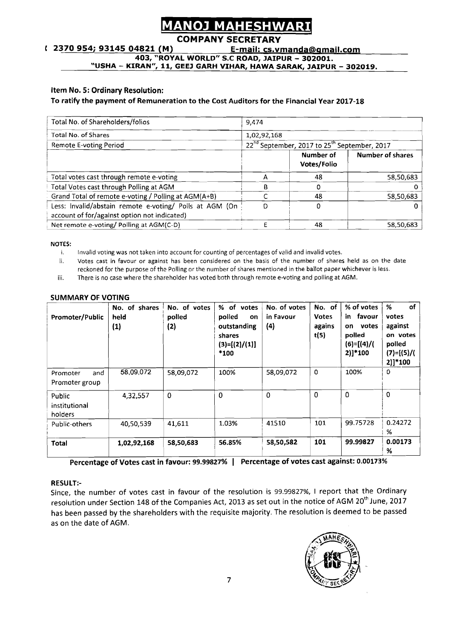### **COMPANY SECRETARY**

#### Item No. 5: Ordinary Resolution:

#### To ratify the payment of Remuneration to the Cost Auditors for the Financial Year **2017-18**

|                                                                                                                               | <b>MANOJ MAHESHWARI</b>  |                                                                      |                         |
|-------------------------------------------------------------------------------------------------------------------------------|--------------------------|----------------------------------------------------------------------|-------------------------|
|                                                                                                                               | <b>COMPANY SECRETARY</b> |                                                                      |                         |
| 2370 954; 93145 04821 (M)                                                                                                     |                          | E-mail: cs.vmanda@gmail.com                                          |                         |
| 403, "ROYAL WORLD" S.C ROAD, JAIPUR - 302001.                                                                                 |                          |                                                                      |                         |
| "USHA - KIRAN", 11, GEEJ GARH VIHAR, HAWA SARAK, JAIPUR - 302019.                                                             |                          |                                                                      |                         |
|                                                                                                                               |                          |                                                                      |                         |
| Item No. 5: Ordinary Resolution:<br>To ratify the payment of Remuneration to the Cost Auditors for the Financial Year 2017-18 |                          |                                                                      |                         |
| Total No. of Shareholders/folios                                                                                              | 9,474                    |                                                                      |                         |
| <b>Total No. of Shares</b>                                                                                                    | 1,02,92,168              |                                                                      |                         |
| <b>Remote E-voting Period</b>                                                                                                 |                          | 22 <sup>nd</sup> September, 2017 to 25 <sup>th</sup> September, 2017 |                         |
|                                                                                                                               |                          | <b>Number of</b><br>Votes/Folio                                      | <b>Number of shares</b> |
| Total votes cast through remote e-voting                                                                                      | $\mathsf{A}$             | 48                                                                   | 58,50,683               |
| Total Votes cast through Polling at AGM                                                                                       | B                        | $\mathbf{0}$                                                         | $\mathbf{O}$            |
| Grand Total of remote e-voting / Polling at AGM(A+B)                                                                          | $\mathsf{C}$             | 48                                                                   | 58,50,683               |
| Less: Invalid/abstain remote e-voting/ Polls at AGM (On<br>account of for/against option not indicated)                       | D.                       | $\mathbf{0}$                                                         | $\Omega$                |

- i. Invalid voting was not taken into account for counting of percentages of valid and invalid votes.
- ii. Votes cast in favour or against has been considered on the basis of the number of shares held as on the date reckoned for the purpose of the Polling or the number of shares mentioned in the ballot paper whichever is less.
- iii. There is no case where the shareholder has voted both through remote e-voting and polling at AGM.

#### SUMMARY OF VOTING

| Promoter/Public                    | No. of shares<br>held<br>(1) | No. of votes<br>polled<br>(2) | % of votes<br>polled<br>on<br>outstanding<br>shares<br>$(3)=[(2)/(1)]$<br>*100 | No. of votes<br>in Favour<br>$\left( 4\right)$ | No. of<br><b>Votes</b><br>agains<br>t(5) | % of votes<br>favour<br>in I<br>votes<br>on<br>polled<br>$(6)=[(4)/($<br>2)]*100 | of<br>%<br>votes<br>against<br>on votes<br>polled<br>$(7)=[(5)/($<br>2)]*100 |
|------------------------------------|------------------------------|-------------------------------|--------------------------------------------------------------------------------|------------------------------------------------|------------------------------------------|----------------------------------------------------------------------------------|------------------------------------------------------------------------------|
| and<br>Promoter<br>Promoter group  | 58,09,072                    | 58,09,072                     | 100%                                                                           | 58,09,072                                      | 0                                        | 100%                                                                             | 0                                                                            |
| Public<br>institutional<br>holders | 4,32,557                     | $\mathbf 0$                   | $\mathbf 0$                                                                    | $\Omega$                                       | 0                                        | $\Omega$                                                                         | $\mathbf 0$                                                                  |
| Public-others                      | 40,50,539                    | 41,611                        | 1.03%                                                                          | 41510                                          | 101                                      | 99.75728                                                                         | 0.24272<br>%                                                                 |
| Total                              | 1,02,92,168                  | 58,50,683                     | 56.85%                                                                         | 58,50,582                                      | 101                                      | 99.99827                                                                         | 0.00173<br>%                                                                 |

Percentage of Votes cast in favour: **99.99827% 1** Percentage of votes cast against: **0.00173%** 

#### RESULT:-

Since, the number of votes cast in favour of the resolution is 99.99827%, 1 report that the Ordinary resolution under Section 148 of the Companies Act, 2013 as set out in the notice of AGM 20<sup>th</sup> June, 2017 has been passed by the shareholders with the requisite majority. The resolution is deemed to be passed as on the date of AGM.

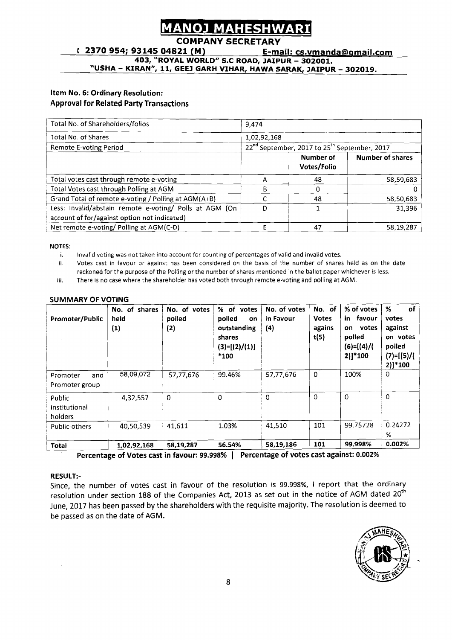## IМ

### **COMPANY SECRETARY**

#### Item No. 6: Ordinary Resolution: Approval for Related Party Transactions

| <b>MANOJ MAHESHWARI</b>                                                                                                                                                                                                                                                                                                                                                                                                                                                           |                   |                                                                                                         |                       |  |  |  |
|-----------------------------------------------------------------------------------------------------------------------------------------------------------------------------------------------------------------------------------------------------------------------------------------------------------------------------------------------------------------------------------------------------------------------------------------------------------------------------------|-------------------|---------------------------------------------------------------------------------------------------------|-----------------------|--|--|--|
| <b>COMPANY SECRETARY</b><br>(2370954; 9314504821(M))<br>403, "ROYAL WORLD" S.C ROAD, JAIPUR - 302001.                                                                                                                                                                                                                                                                                                                                                                             |                   | E-mail: cs.vmanda@gmail.com                                                                             |                       |  |  |  |
| <u>"USHA – KIRAN", 11, GEEJ GARH VIHAR, HAWA SARAK, JAIPUR – 302019.</u><br>Item No. 6: Ordinary Resolution:<br><b>Approval for Related Party Transactions</b>                                                                                                                                                                                                                                                                                                                    |                   |                                                                                                         |                       |  |  |  |
| Total No. of Shareholders/folios                                                                                                                                                                                                                                                                                                                                                                                                                                                  | 9,474             |                                                                                                         |                       |  |  |  |
| Total No. of Shares<br>Remote E-voting Period                                                                                                                                                                                                                                                                                                                                                                                                                                     | 1,02,92,168       | 22 <sup>nd</sup> September, 2017 to 25 <sup>th</sup> September, 2017<br><b>Number of</b><br>Votes/Folio | Number of shares      |  |  |  |
| Total votes cast through remote e-voting<br>Total Votes cast through Polling at AGM                                                                                                                                                                                                                                                                                                                                                                                               | $\mathsf{A}$<br>B | 48<br>$\overline{0}$                                                                                    | 58,50,683<br>$\Omega$ |  |  |  |
| Grand Total of remote e-voting / Polling at AGM(A+B)<br>Less: Invalid/abstain remote e-voting/ Polls at AGM (On<br>account of for/against option not indicated)                                                                                                                                                                                                                                                                                                                   | $\mathsf{C}$<br>D | 48<br>$\mathbf{1}$                                                                                      | 58,50,683<br>31,396   |  |  |  |
| Net remote e-voting/Polling at AGM(C-D)                                                                                                                                                                                                                                                                                                                                                                                                                                           | E                 | 47                                                                                                      | 58,19,287             |  |  |  |
| <b>NOTES:</b><br>Invalid voting was not taken into account for counting of percentages of valid and invalid votes.<br>.i.<br>Votes cast in favour or against has been considered on the basis of the number of shares held as on the date<br>ii.<br>reckoned for the purpose of the Polling or the number of shares mentioned in the ballot paper whichever is less.<br>There is no case where the shareholder has voted both through remote e-voting and polling at AGM.<br>iii. |                   |                                                                                                         |                       |  |  |  |
| <b>SUMMARY OF VOTING</b><br>No. of shares   No. of votes   % of votes   No. of votes   No. of   % of votes   %                                                                                                                                                                                                                                                                                                                                                                    |                   |                                                                                                         | of                    |  |  |  |

- i. Invalid voting was not taken into account for counting of percentages of valid and invalid votes.
- ii. Votes cast in favour or against has been considered on the basis of the number of shares held as on the date reckoned for the purpose of the Polling or the number of shares mentioned in the ballot paper whichever is less.
- iii. There is no case where the shareholder has voted both through remote e-voting and polling at **AGM.**

|  |  | <b>SUMMARY OF VOTING</b> |
|--|--|--------------------------|
|  |  |                          |

| Promoter/Public                    | No. of<br>shares<br>held<br>$\left( 1\right)$ | No. of votes<br>polled<br>(2) | % of votes<br>polled<br>on<br>outstanding<br>shares<br>$(3)=[(2)/(1)]$<br>$*100$ | No. of votes<br>in Favour<br>(4) | No. of<br><b>Votes</b><br>agains<br>t(5) | % of votes<br>favour<br>in l<br>on votes<br>polled<br>$(6)=[(4)/($<br>2)]*100 | оf<br>%<br>votes<br>against<br>on votes<br>polled<br>$(7)=[(5)/($<br>$2)$ ]*100 |
|------------------------------------|-----------------------------------------------|-------------------------------|----------------------------------------------------------------------------------|----------------------------------|------------------------------------------|-------------------------------------------------------------------------------|---------------------------------------------------------------------------------|
| and<br>Promoter<br>Promoter group  | 58,09,072                                     | 57,77,676                     | 99.46%                                                                           | 57,77,676                        | $\mathbf 0$                              | 100%                                                                          | 0                                                                               |
| Public<br>institutional<br>holders | 4,32,557                                      | 0                             | 0                                                                                | $\Omega$                         | $\Omega$                                 | $\Omega$                                                                      | 0                                                                               |
| Public-others                      | 40,50,539                                     | 41,611                        | 1.03%                                                                            | 41.510                           | 101                                      | 99.75728                                                                      | 0.24272<br>%                                                                    |
| Total                              | 1.02.92.168                                   | 58,19,287                     | 56.54%                                                                           | 58,19,186                        | 101                                      | 99.998%                                                                       | 0.002%                                                                          |

Percentage of Votes cast in favour: 99.998% **1** Percentage of votes cast against: **0.002%** 

#### RESULT:-

Since, the number of votes cast in favour of the resolution is 99.998%, 1 report that the ordinary resolution under section 188 of the Companies Act, 2013 as set out in the notice of AGM dated 20<sup>th</sup> June, 2017 has been passed by the shareholders with the requisite majority. The resolution is deemed to be passed as on the date of AGM.

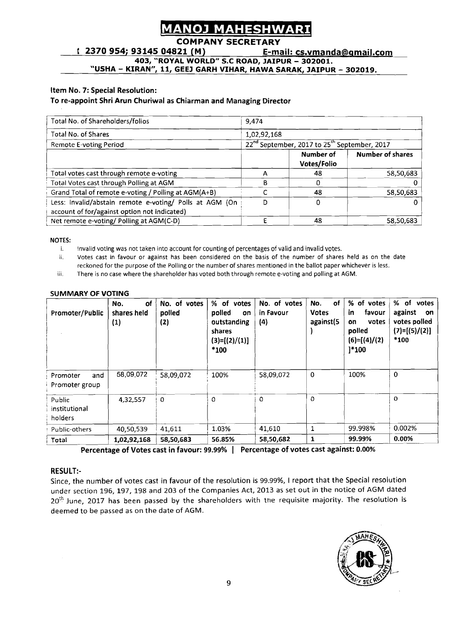#### **MAHESHWAR** Λ1

### **COMPANY SECRETARY**

**2370 954; 93145 04821 (M) E-mail: cs.vmanda@smail.com** - **403, "ROYAL WORLD" S.C ROAD, JAIPUR** - **302001.** 

**"USHA** - **KIRAN", 11, GEE1 GARH VIHAR, HAWA SARAK, JAIPUR** - **302019.** 

#### Item No. **7:** Special Resolution:

#### To re-appoint Shri Arun Churiwal as Chiarman and Managing Director

| Total No. of Shareholders/folios                        | 9.474       |                                                                      |                         |
|---------------------------------------------------------|-------------|----------------------------------------------------------------------|-------------------------|
| Total No. of Shares                                     | 1,02,92,168 |                                                                      |                         |
| <b>Remote E-voting Period</b>                           |             | 22 <sup>nd</sup> September, 2017 to 25 <sup>th</sup> September, 2017 |                         |
|                                                         |             | Number of                                                            | <b>Number of shares</b> |
|                                                         |             | Votes/Folio                                                          |                         |
| Total votes cast through remote e-voting                | А           | 48                                                                   | 58,50,683               |
| Total Votes cast through Polling at AGM                 | B           | ∩                                                                    |                         |
| Grand Total of remote e-voting / Polling at AGM(A+B)    |             | 48                                                                   | 58,50,683               |
| Less: Invalid/abstain remote e-voting/ Polls at AGM (On | D           | 0                                                                    |                         |
| account of for/against option not indicated)            |             |                                                                      |                         |
| Net remote e-voting/ Polling at AGM(C-D)                |             | 48                                                                   | 58,50,683               |

#### **NOTES:**

i. Invalid voting was not taken into account for counting of percentages of valid and invalid votes.

ii. Votes cast in favour or against has been considered on the basis of the number of shares held as on the date reckoned for the purpose of the Polling or the number of shares mentioned in the ballot paper whichever is less.

iii. There is no case where the shareholder has voted both through remote e-voting and polling at AGM.

| Promoter/Public                    | No.<br><b>of</b><br>shares held<br>(1) | No. of votes<br>polled<br>(2) | % of votes<br>polled<br>on<br>outstanding<br>shares<br>$(3)=[(2)/(1)]$<br>*100 | No. of votes<br>in Favour<br>(4) | of<br>No.<br><b>Votes</b><br>against(5 | % of votes<br>favour<br>in<br>votes<br>٥n<br>polled<br>$(6)=[(4)/(2)$<br>]*100 | % of<br>votes<br>against<br>on<br>votes polled<br>$(7)=[(5)/(2)]$<br>*100 |
|------------------------------------|----------------------------------------|-------------------------------|--------------------------------------------------------------------------------|----------------------------------|----------------------------------------|--------------------------------------------------------------------------------|---------------------------------------------------------------------------|
| and<br>Promoter<br>Promoter group  | 58,09,072                              | 58,09,072                     | 100%                                                                           | 58,09,072                        | 0                                      | 100%                                                                           | 0                                                                         |
| Public<br>institutional<br>holders | 4,32,557                               | 0                             | $\Omega$                                                                       | $\Omega$                         | $\Omega$                               |                                                                                | O                                                                         |
| Public-others                      | 40,50,539                              | 41,611                        | 1.03%                                                                          | 41.610                           | 1                                      | 99.998%                                                                        | 0.002%                                                                    |
| Total                              | 1,02,92,168                            | 58,50,683                     | 56.85%                                                                         | 58,50,682                        | 1                                      | 99.99%                                                                         | $0.00\%$                                                                  |

#### **SUMMARY OF VOTING**

Percentage of Votes cast in favour: 99.99% | Percentage of votes cast against: 0.00%

#### RESULT:-

Since, the number of votes cast in favour of the resolution is 99.99%, **1** report that the Special resolution under section 196, 197, 198 and 203 of the Companies Act, 2013 as set out in the notice of ACM dated 20<sup>th</sup> June, 2017 has been passed by the shareholders with the requisite majority. The resolution is deemed to be passed as on the date of AGM.

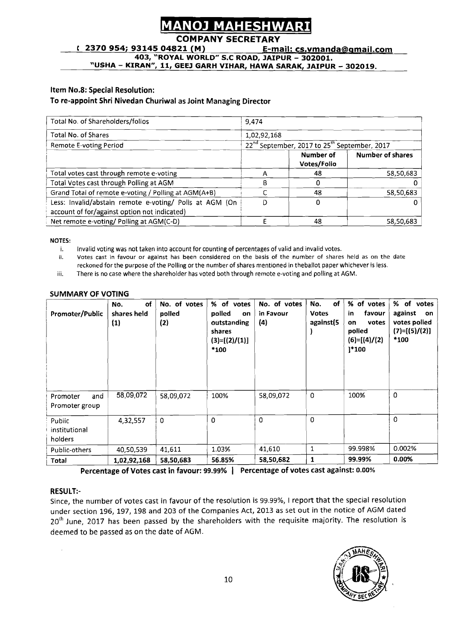#### **MAHESHWA** NOJ

### **COMPANY SECRETARY**

**c** 2370 954; 93145 04821 (M) **E-mail: cs.ymanda@gmail.com** 

**403, 'ROYAL WORLD" S.C ROAD, JAIPUR** - **302001.** 

**"USHA** - **KIRAN", 11, GEEJ GARH VIHAR, HAWA SARAK, JAIPUR** - **302019.** 

#### **Item No.8: Special Resolution:**

#### **To re-appoint Shri Nivedan Churiwal as Joint Managing Director**

| Item No.8: Special Resolution:                                                                          |             |                                                                      |                         |
|---------------------------------------------------------------------------------------------------------|-------------|----------------------------------------------------------------------|-------------------------|
| To re-appoint Shri Nivedan Churiwal as Joint Managing Director                                          |             |                                                                      |                         |
| Total No. of Shareholders/folios                                                                        | 9,474       |                                                                      |                         |
| Total No. of Shares                                                                                     | 1,02,92,168 |                                                                      |                         |
| <b>Remote E-voting Period</b>                                                                           |             | 22 <sup>nd</sup> September, 2017 to 25 <sup>th</sup> September, 2017 |                         |
|                                                                                                         |             | Number of<br>Votes/Folio                                             | <b>Number of shares</b> |
| Total votes cast through remote e-voting                                                                | A           | 48                                                                   | 58,50,683               |
| Total Votes cast through Polling at AGM                                                                 | R           | 0                                                                    | 0                       |
| Grand Total of remote e-voting / Polling at AGM(A+B)                                                    |             | 48                                                                   | 58,50,683               |
| Less: Invalid/abstain remote e-voting/ Polls at AGM (On<br>account of for/against option not indicated) | D           | 0                                                                    | 0                       |
| Net remote e-voting/ Polling at AGM(C-D)                                                                | E           | 48                                                                   | 58,50,683               |

**NOTES:** 

i. Invalid voting was not taken into account for counting of percentages of valid and invalid votes.<br>ii. Votes cast in favour or against has been considered on the basis of the number of shares **ii.** Votes cast in favour or against has been considered on the basis of the number of shares held as on the date reckoned for the purpose of the Polling or the number of shares mentioned in theballot paper whichever is less.

iii. There is no case where the shareholder has voted both through remote e-voting and polling at AGM.

| Promoter/Public                    | of<br>No.<br>shares held<br>(1) | No. of votes<br>polled<br>(2) | % of votes<br>polled<br>on<br>outstanding<br>shares<br>$(3)=[(2)/(1)]$<br>$*100$ | No. of votes<br>in Favour<br>(4) | No.<br>of<br><b>Votes</b><br>against(5 | % of votes<br>favour<br>in<br>votes<br>on<br>polled<br>$(6)=[(4)/(2)$<br>$1*100$ | % of votes<br>against<br>on<br>votes polled<br>$(7)=[(5)/(2)]$<br>*100 |
|------------------------------------|---------------------------------|-------------------------------|----------------------------------------------------------------------------------|----------------------------------|----------------------------------------|----------------------------------------------------------------------------------|------------------------------------------------------------------------|
| and<br>Promoter<br>Promoter group  | 58,09,072                       | 58,09,072                     | 100%                                                                             | 58,09,072                        | $\mathbf 0$                            | 100%                                                                             | 0                                                                      |
| Public<br>institutional<br>holders | 4,32,557                        | $\Omega$                      | $\Omega$                                                                         | $\Omega$                         | $\mathbf 0$                            |                                                                                  | $\mathbf{0}$                                                           |
| Public-others                      | 40,50,539                       | 41,611                        | 1.03%                                                                            | 41,610                           | 1                                      | 99.998%                                                                          | 0.002%                                                                 |
| Total                              | 1,02,92,168                     | 58,50,683                     | 56.85%                                                                           | 58,50,682                        | $\mathbf{1}$                           | 99.99%                                                                           | 0.00%                                                                  |

#### **SUMMARY OF VOTING**

**Percentage of Votes cast in favour: 99.99% 1 Percentage of votes cast against: 0.00%** 

#### **RESULT:-**

Since, the number of votes cast in favour of the resolution is 99.99%, 1 report that the special resolution under section 196, 197, 198 and 203 of the Companies Act, 2013 as set out in the notice of AGM dated 20<sup>th</sup> June, 2017 has been passed by the shareholders with the requisite majority. The resolution is deemed to be passed as on the date of AGM.

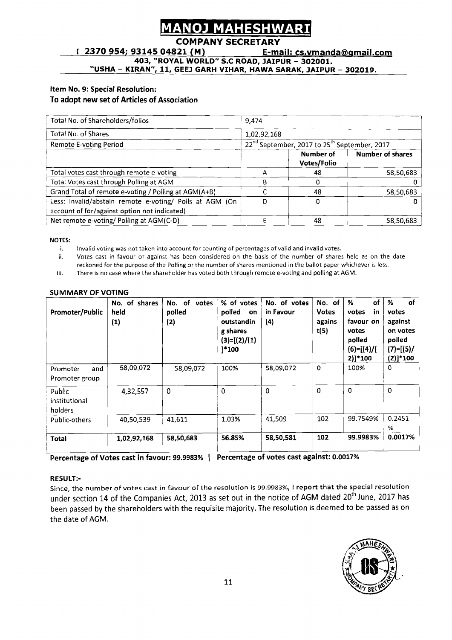### COMPANY SECRE

<sup>r</sup>**2370 954; 93145 04821 (M) E-mail: cs.vmanda8amail.com 403, "ROYAL WORLD" S.C ROAD, JAIPUR** - **302001. "USHA** - **KIRAN", 11, GEEJ GARH VIHAR, HAWA SARAK, JAIPUR** - **302019.** 

### **Item No. 9: Special Resolution: To adopt new set of Articles of Association**

| Total No. of Shareholders/folios                        | 9.474       |                                                                      |                         |
|---------------------------------------------------------|-------------|----------------------------------------------------------------------|-------------------------|
| Total No. of Shares                                     | 1,02,92,168 |                                                                      |                         |
| <b>Remote E-voting Period</b>                           |             | 22 <sup>nd</sup> September, 2017 to 25 <sup>th</sup> September, 2017 |                         |
|                                                         |             | Number of<br>Votes/Folio                                             | <b>Number of shares</b> |
| Total votes cast through remote e-voting                | А           | 48                                                                   | 58,50,683               |
| Total Votes cast through Polling at AGM                 | В           |                                                                      |                         |
| Grand Total of remote e-voting / Polling at AGM(A+B)    |             | 48                                                                   | 58,50,683               |
| Less: Invalid/abstain remote e-voting/ Polls at AGM (On | D           | ٥                                                                    | O                       |
| account of for/against option not indicated)            |             |                                                                      |                         |
| Net remote e-voting/ Polling at AGM(C-D)                |             | 48                                                                   | 58,50,683               |

#### NOTES:

i. Invalid voting was not taken into account for counting af percentages of valid and invalid votes.

ii. Votes cast in favour or against has been considered on the basis of the number of shares held as on the date

reckoned for the purpose of the Polling or the number of shares mentioned in the ballot paper whichever is less.

iii. There is no case where the shareholder has voted both through remote e-voting and polling at AGM.

| <b>Promoter/Public</b>             | No. of shares<br>held<br>$(1)$ | No. of votes<br>polled<br>(2) | % of votes<br>polled<br>on<br>outstandin<br>g shares<br>$(3)=[(2)/(1)$<br><sup>1</sup> *100 | No. of votes<br>in Favour<br>(4) | No. of<br><b>Votes</b><br>agains<br>t(5) | of<br>%<br>in<br>votes<br>favour on<br>votes<br>polled<br>$(6)=[(4)/($<br>2)]*100 | of<br>%<br>votes<br>against<br>on votes<br>polled<br>$(7) = [(5) /$<br>$(2)]*100$ |
|------------------------------------|--------------------------------|-------------------------------|---------------------------------------------------------------------------------------------|----------------------------------|------------------------------------------|-----------------------------------------------------------------------------------|-----------------------------------------------------------------------------------|
| and<br>Promoter<br>Promoter group  | 58.09.072                      | 58,09,072                     | 100%                                                                                        | 58,09,072                        | $\mathbf{o}$                             | 100%                                                                              | 0                                                                                 |
| Public<br>institutional<br>holders | 4,32,557                       | $\mathbf 0$                   | 0                                                                                           | 0                                | 0                                        | $\mathbf 0$                                                                       | 0                                                                                 |
| Public-others                      | 40,50,539                      | 41,611                        | 1.03%                                                                                       | 41,509                           | 102                                      | 99.7549%                                                                          | 0.2451<br>%                                                                       |
| Total                              | 1,02,92,168                    | 58,50,683                     | 56.85%                                                                                      | 58,50,581                        | 102                                      | 99.9983%                                                                          | 0.0017%                                                                           |

#### **SUMMARY OF VOTING**

**Percentage of Votes cast in favour: 99.9983%** 1 **Percentage of votes cast against: 0.0017%** 

#### **RESULT:-**

Since, the number of votes cast in favour of the resolution is **99.9983%,** 1 **report** that the special resolution under section 14 of the Companies Act, 2013 as set out in the notice of AGM dated 20<sup>th</sup> June, 2017 has been passed by the shareholders with the requisite majority. The resolution is deemed to be passed as on the date of AGM.